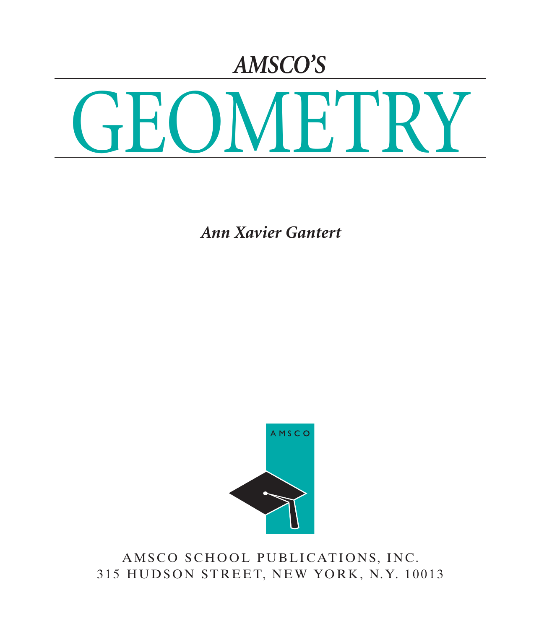## *AMSCO'S*



*Ann Xavier Gantert*



AMSCO SCHOOL PUBLICATIONS, INC. 315 HUDSON STREET, NEW YORK, N.Y. 10013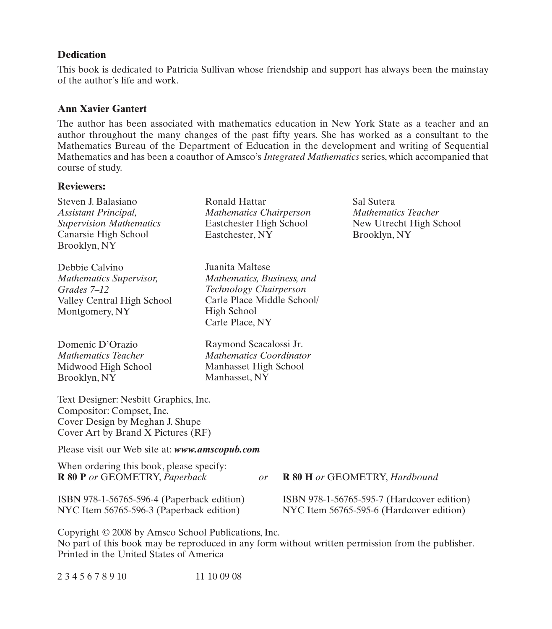#### **Dedication**

This book is dedicated to Patricia Sullivan whose friendship and support has always been the mainstay of the author's life and work.

#### **Ann Xavier Gantert**

The author has been associated with mathematics education in New York State as a teacher and an author throughout the many changes of the past fifty years. She has worked as a consultant to the Mathematics Bureau of the Department of Education in the development and writing of Sequential Mathematics and has been a coauthor of Amsco's *Integrated Mathematics* series, which accompanied that course of study.

#### **Reviewers:**

| Steven J. Balasiano<br>Assistant Principal,<br><b>Supervision Mathematics</b><br>Canarsie High School<br>Brooklyn, NY                                   | Ronald Hattar<br><b>Mathematics Chairperson</b><br>Eastchester High School<br>Eastchester, NY                                           |  |  | Sal Sutera<br><b>Mathematics Teacher</b><br>New Utrecht High School<br>Brooklyn, NY    |
|---------------------------------------------------------------------------------------------------------------------------------------------------------|-----------------------------------------------------------------------------------------------------------------------------------------|--|--|----------------------------------------------------------------------------------------|
| Debbie Calvino<br><b>Mathematics Supervisor,</b><br>Grades 7–12<br>Valley Central High School<br>Montgomery, NY                                         | Juanita Maltese<br>Mathematics, Business, and<br>Technology Chairperson<br>Carle Place Middle School/<br>High School<br>Carle Place, NY |  |  |                                                                                        |
| Domenic D'Orazio<br><b>Mathematics Teacher</b><br>Midwood High School<br>Brooklyn, NY                                                                   | Raymond Scacalossi Jr.<br><b>Mathematics Coordinator</b><br>Manhasset High School<br>Manhasset, NY                                      |  |  |                                                                                        |
| Text Designer: Nesbitt Graphics, Inc.<br>Compositor: Compset, Inc.<br>Cover Design by Meghan J. Shupe<br>Cover Art by Brand X Pictures (RF)             |                                                                                                                                         |  |  |                                                                                        |
| Please visit our Web site at: www.amscopub.com                                                                                                          |                                                                                                                                         |  |  |                                                                                        |
| When ordering this book, please specify:<br>R 80 P or GEOMETRY, Paperback<br>R 80 H or GEOMETRY, Hardbound<br>or                                        |                                                                                                                                         |  |  |                                                                                        |
| ISBN 978-1-56765-596-4 (Paperback edition)<br>NYC Item 56765-596-3 (Paperback edition)                                                                  |                                                                                                                                         |  |  | ISBN 978-1-56765-595-7 (Hardcover edition)<br>NYC Item 56765-595-6 (Hardcover edition) |
| Copyright © 2008 by Amsco School Publications, Inc.<br>No next of this hook may be reproduced in ony form without written normission from the publisher |                                                                                                                                         |  |  |                                                                                        |

No part of this book may be reproduced in any form without written permission from the publisher. Printed in the United States of America

| 2345678910 | 11 10 09 08 |
|------------|-------------|
|------------|-------------|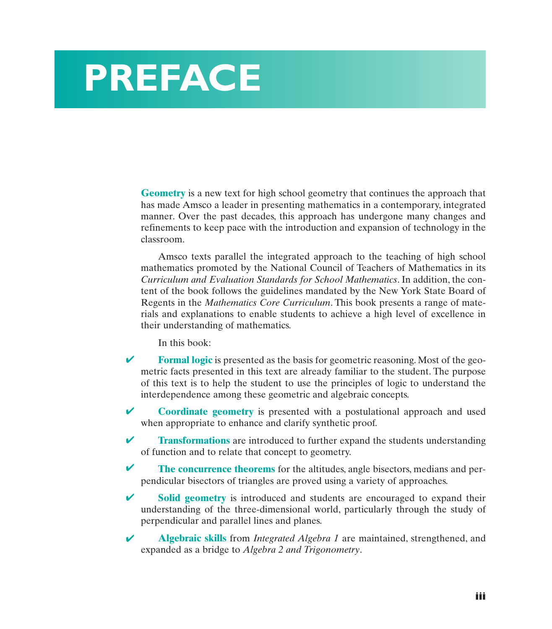# **PREFACE**

**Geometry** is a new text for high school geometry that continues the approach that has made Amsco a leader in presenting mathematics in a contemporary, integrated manner. Over the past decades, this approach has undergone many changes and refinements to keep pace with the introduction and expansion of technology in the classroom.

Amsco texts parallel the integrated approach to the teaching of high school mathematics promoted by the National Council of Teachers of Mathematics in its *Curriculum and Evaluation Standards for School Mathematics*. In addition, the content of the book follows the guidelines mandated by the New York State Board of Regents in the *Mathematics Core Curriculum*. This book presents a range of materials and explanations to enable students to achieve a high level of excellence in their understanding of mathematics.

In this book:

- **Formal logic** is presented as the basis for geometric reasoning. Most of the geometric facts presented in this text are already familiar to the student. The purpose of this text is to help the student to use the principles of logic to understand the interdependence among these geometric and algebraic concepts. ✔
- **Coordinate geometry** is presented with a postulational approach and used when appropriate to enhance and clarify synthetic proof. ✔
- **Transformations** are introduced to further expand the students understanding of function and to relate that concept to geometry. ✔
- **The concurrence theorems** for the altitudes, angle bisectors, medians and perpendicular bisectors of triangles are proved using a variety of approaches. ✔
- **Solid geometry** is introduced and students are encouraged to expand their understanding of the three-dimensional world, particularly through the study of perpendicular and parallel lines and planes. ✔
- **Algebraic skills** from *Integrated Algebra 1* are maintained, strengthened, and expanded as a bridge to *Algebra 2 and Trigonometry*. ✔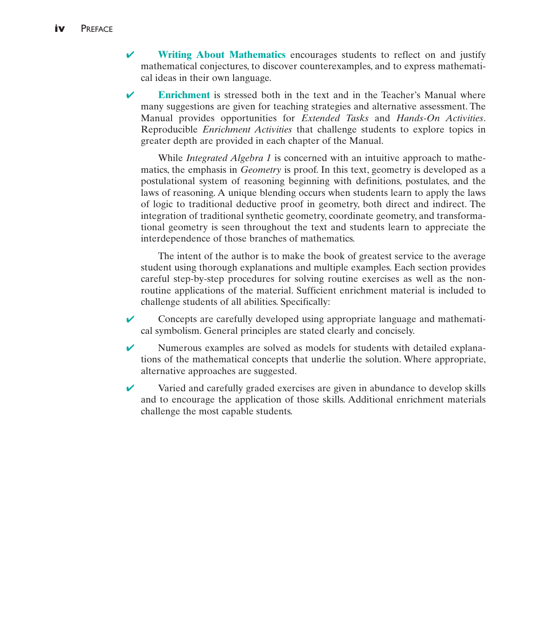- **Writing About Mathematics** encourages students to reflect on and justify mathematical conjectures, to discover counterexamples, and to express mathematical ideas in their own language. ✔
- **Enrichment** is stressed both in the text and in the Teacher's Manual where many suggestions are given for teaching strategies and alternative assessment. The Manual provides opportunities for *Extended Tasks* and *Hands-On Activities*. Reproducible *Enrichment Activities* that challenge students to explore topics in greater depth are provided in each chapter of the Manual. ✔

While *Integrated Algebra 1* is concerned with an intuitive approach to mathematics, the emphasis in *Geometry* is proof. In this text, geometry is developed as a postulational system of reasoning beginning with definitions, postulates, and the laws of reasoning. A unique blending occurs when students learn to apply the laws of logic to traditional deductive proof in geometry, both direct and indirect. The integration of traditional synthetic geometry, coordinate geometry, and transformational geometry is seen throughout the text and students learn to appreciate the interdependence of those branches of mathematics.

The intent of the author is to make the book of greatest service to the average student using thorough explanations and multiple examples. Each section provides careful step-by-step procedures for solving routine exercises as well as the nonroutine applications of the material. Sufficient enrichment material is included to challenge students of all abilities. Specifically:

- Concepts are carefully developed using appropriate language and mathematical symbolism. General principles are stated clearly and concisely. ✔
- Numerous examples are solved as models for students with detailed explanations of the mathematical concepts that underlie the solution. Where appropriate, alternative approaches are suggested. ✔
- Varied and carefully graded exercises are given in abundance to develop skills and to encourage the application of those skills. Additional enrichment materials challenge the most capable students. ✔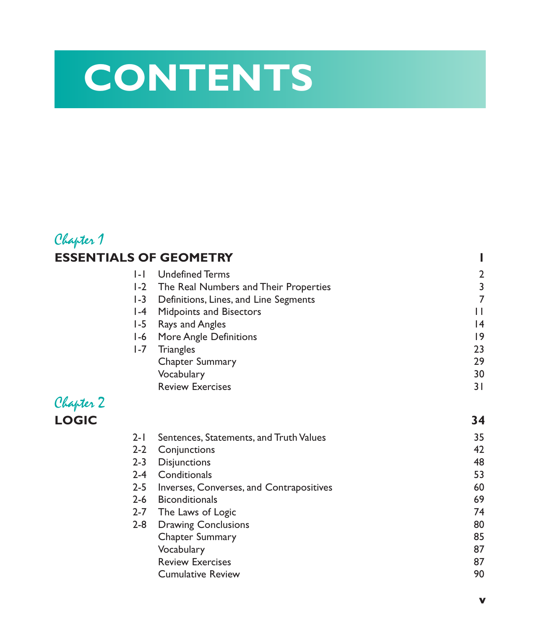# **CONTENTS**

### Chapter 1 **ESSENTIALS OF GEOMETRY 1**

| $1 - 1$ | <b>Undefined Terms</b>                    | $\overline{2}$ |
|---------|-------------------------------------------|----------------|
|         | 1-2 The Real Numbers and Their Properties | 3              |
| $1-3$   | Definitions, Lines, and Line Segments     | 7              |
|         | 1-4 Midpoints and Bisectors               | Н              |
|         | 1-5 Rays and Angles                       | 14             |
|         | 1-6 More Angle Definitions                | 19             |
| $1 - 7$ | Triangles                                 | 23             |
|         | Chapter Summary                           | 29             |
|         | Vocabulary                                | 30             |
|         | <b>Review Exercises</b>                   | 3 I            |
|         |                                           |                |

# Chapter 2

| <b>LOGIC</b> |         |                                          | 34 |
|--------------|---------|------------------------------------------|----|
|              | $2 - 1$ | Sentences, Statements, and Truth Values  | 35 |
|              | $2 - 2$ | Conjunctions                             | 42 |
|              | $2 - 3$ | <b>Disjunctions</b>                      | 48 |
|              | $2 - 4$ | Conditionals                             | 53 |
|              | $2 - 5$ | Inverses, Converses, and Contrapositives | 60 |
|              | $2 - 6$ | <b>Biconditionals</b>                    | 69 |
|              | $2 - 7$ | The Laws of Logic                        | 74 |
|              | $2 - 8$ | <b>Drawing Conclusions</b>               | 80 |
|              |         | Chapter Summary                          | 85 |
|              |         | Vocabulary                               | 87 |
|              |         | <b>Review Exercises</b>                  | 87 |
|              |         | <b>Cumulative Review</b>                 | 90 |
|              |         |                                          |    |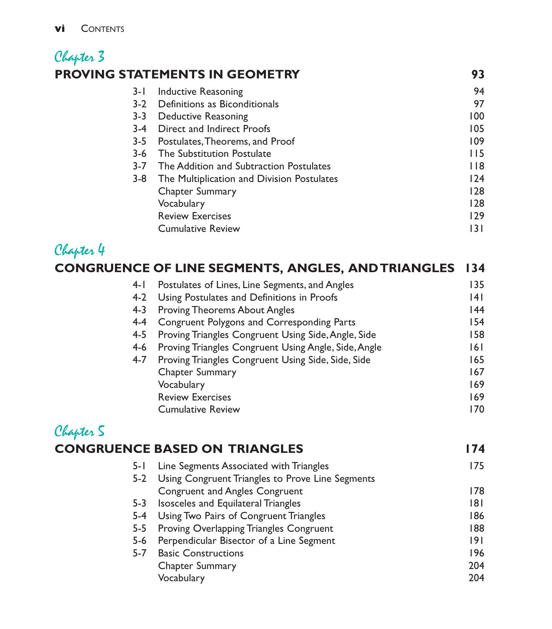### Chapter 3 **PROVING STATEMENTS IN GEOMETRY 93**

| 3- I    | Inductive Reasoning                        | 94   |
|---------|--------------------------------------------|------|
| $3-2$   | Definitions as Biconditionals              | 97   |
| $3 - 3$ | Deductive Reasoning                        | 100  |
| 3-4     | Direct and Indirect Proofs                 | 105  |
| 3-5     | Postulates, Theorems, and Proof            | 109  |
| 3-6     | <b>The Substitution Postulate</b>          | 115  |
| $3 - 7$ | The Addition and Subtraction Postulates    | l 18 |
| $3 - 8$ | The Multiplication and Division Postulates | 124  |
|         | <b>Chapter Summary</b>                     | 128  |
|         | Vocabulary                                 | 128  |
|         | <b>Review Exercises</b>                    | 129  |
|         | <b>Cumulative Review</b>                   | 131  |
|         |                                            |      |

## Chapter 4

| hapter 4 |                                                        |      |
|----------|--------------------------------------------------------|------|
|          | CONGRUENCE OF LINE SEGMENTS, ANGLES, AND TRIANGLES 134 |      |
| $4-1$    | Postulates of Lines, Line Segments, and Angles         | 135  |
| $4-2$    | Using Postulates and Definitions in Proofs             | 14 I |
| 4-3      | <b>Proving Theorems About Angles</b>                   | 44   |
| 4-4      | <b>Congruent Polygons and Corresponding Parts</b>      | 154  |
| 4-5      | Proving Triangles Congruent Using Side, Angle, Side    | 158  |
| 4-6      | Proving Triangles Congruent Using Angle, Side, Angle   | 6    |
| $4 - 7$  | Proving Triangles Congruent Using Side, Side, Side     | 165  |
|          | Chapter Summary                                        | 167  |
|          | Vocabulary                                             | 169  |
|          | <b>Review Exercises</b>                                | 169  |
|          | <b>Cumulative Review</b>                               | 170  |

#### Chapter 5 **CONGRUENCE BASED ON TRIANGLES 174** 5-1 Line Segments Associated with Triangles 175 5-2 Using Congruent Triangles to Prove Line Segments Congruent and Angles Congruent 178

| $5 - 3$ | Isosceles and Equilateral Triangles          | 181 |
|---------|----------------------------------------------|-----|
|         | 5-4 Using Two Pairs of Congruent Triangles   | 186 |
|         | 5-5 Proving Overlapping Triangles Congruent  | 188 |
|         | 5-6 Perpendicular Bisector of a Line Segment | 191 |
| $5 - 7$ | <b>Basic Constructions</b>                   | 196 |
|         | <b>Chapter Summary</b>                       | 204 |
|         | Vocabulary                                   | 204 |
|         |                                              |     |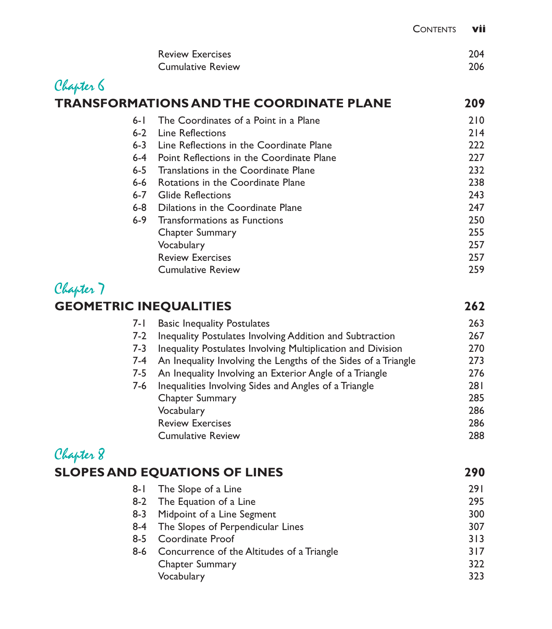| <b>Review Exercises</b>  | 204 |
|--------------------------|-----|
| <b>Cumulative Review</b> | 206 |

## Chapter 6 **TRANSFORMATIONS AND THE COORDINATE PLANE 209**

| $6-1$   | The Coordinates of a Point in a Plane     | 210 |
|---------|-------------------------------------------|-----|
| $6 - 2$ | Line Reflections                          | 214 |
| $6 - 3$ | Line Reflections in the Coordinate Plane  | 222 |
| $6 - 4$ | Point Reflections in the Coordinate Plane | 227 |
| $6 - 5$ | Translations in the Coordinate Plane      | 232 |
| $6 - 6$ | Rotations in the Coordinate Plane         | 238 |
| $6 - 7$ | <b>Glide Reflections</b>                  | 243 |
| $6 - 8$ | Dilations in the Coordinate Plane         | 247 |
| $6 - 9$ | <b>Transformations as Functions</b>       | 250 |
|         | Chapter Summary                           | 255 |
|         | Vocabulary                                | 257 |
|         | <b>Review Exercises</b>                   | 257 |
|         | <b>Cumulative Review</b>                  | 259 |
|         |                                           |     |

## Chapter 7

#### **GEOMETRIC INEQUALITIES 262**

| 7- I | <b>Basic Inequality Postulates</b>                             | 263 |
|------|----------------------------------------------------------------|-----|
| 7-2  | Inequality Postulates Involving Addition and Subtraction       | 267 |
| 7-3  | Inequality Postulates Involving Multiplication and Division    | 270 |
| 7-4  | An Inequality Involving the Lengths of the Sides of a Triangle | 273 |
| 7-5  | An Inequality Involving an Exterior Angle of a Triangle        | 276 |
| 7-6  | Inequalities Involving Sides and Angles of a Triangle          | 281 |
|      | <b>Chapter Summary</b>                                         | 285 |
|      | Vocabulary                                                     | 286 |
|      | <b>Review Exercises</b>                                        | 286 |
|      | <b>Cumulative Review</b>                                       | 288 |
|      |                                                                |     |

# Chapter 8

| <b>SLOPES AND EQUATIONS OF LINES</b>           |            |
|------------------------------------------------|------------|
| The Slope of a Line                            | <b>291</b> |
| 8-2 The Equation of a Line                     | 295        |
| Midpoint of a Line Segment<br>8-3              | 300        |
| 8-4 The Slopes of Perpendicular Lines          | 307        |
| 8-5 Coordinate Proof                           | 313        |
| 8-6 Concurrence of the Altitudes of a Triangle | 317        |
| <b>Chapter Summary</b>                         | 322        |
| Vocabulary                                     | 323        |
|                                                |            |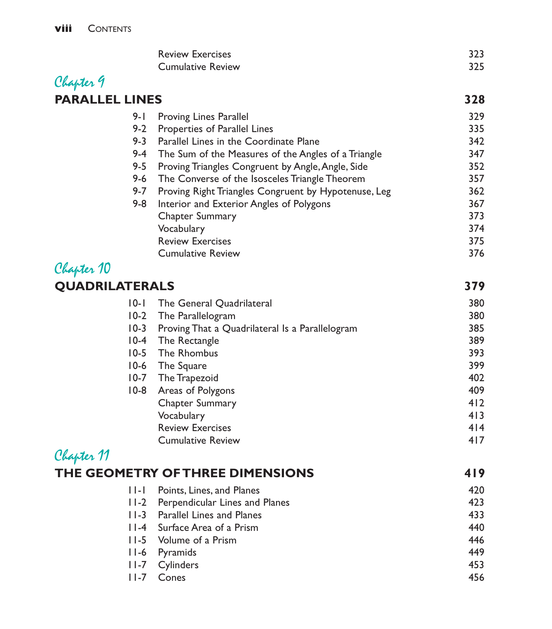|                       | <b>Review Exercises</b><br><b>Cumulative Review</b>                    | 323<br>325 |
|-----------------------|------------------------------------------------------------------------|------------|
| Chapter 9             |                                                                        |            |
| <b>PARALLEL LINES</b> |                                                                        | 328        |
|                       |                                                                        |            |
| 9- I                  | <b>Proving Lines Parallel</b>                                          | 329        |
| $9 - 2$<br>$9 - 3$    | Properties of Parallel Lines<br>Parallel Lines in the Coordinate Plane | 335        |
| $9 - 4$               | The Sum of the Measures of the Angles of a Triangle                    | 342<br>347 |
| $9 - 5$               | Proving Triangles Congruent by Angle, Angle, Side                      | 352        |
| $9 - 6$               | The Converse of the Isosceles Triangle Theorem                         | 357        |
| $9 - 7$               | Proving Right Triangles Congruent by Hypotenuse, Leg                   | 362        |
| $9 - 8$               | Interior and Exterior Angles of Polygons                               | 367        |
|                       | Chapter Summary                                                        | 373        |
|                       | Vocabulary                                                             | 374        |
|                       | <b>Review Exercises</b>                                                | 375        |
|                       | <b>Cumulative Review</b>                                               | 376        |
| Chapter 10            |                                                                        |            |
| <b>QUADRILATERALS</b> |                                                                        | 379        |
| $ 0-1 $               | The General Quadrilateral                                              | 380        |
| $10-2$                | The Parallelogram                                                      | 380        |
| $10-3$                | Proving That a Quadrilateral Is a Parallelogram                        | 385        |
| $10-4$                | The Rectangle                                                          | 389        |
| $10-5$                | The Rhombus                                                            | 393        |
| $10-6$                | The Square                                                             | 399        |
| $10-7$                | The Trapezoid                                                          | 402        |
| $10-8$                | Areas of Polygons                                                      | 409        |
|                       | Chapter Summary                                                        | 412        |
|                       | Vocabulary                                                             | 413        |
|                       | <b>Review Exercises</b>                                                | 4 4        |
|                       | <b>Cumulative Review</b>                                               | 417        |
| Chapter 11            |                                                                        |            |
|                       | THE GEOMETRY OF THREE DIMENSIONS                                       | 419        |
| .  .                  | Points, Lines, and Planes                                              | 420        |
| $11-2$                | Perpendicular Lines and Planes                                         | 423        |
| $ I - 3 $             | Parallel Lines and Planes                                              | 433        |
| $ I - 4 $             | Surface Area of a Prism                                                | 440        |
| $11-5$                | Volume of a Prism                                                      | 446        |
| $11-6$                | Pyramids                                                               | 449        |
| $ $ $ -7$             | Cylinders                                                              | 453        |
| $ $ $ -7$             | Cones                                                                  | 456        |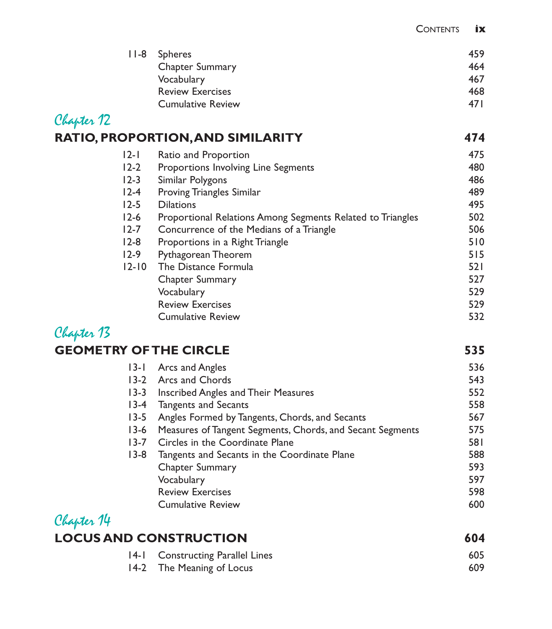|  | 11-8 Spheres             | 459  |
|--|--------------------------|------|
|  | <b>Chapter Summary</b>   | 464  |
|  | Vocabulary               | 467  |
|  | <b>Review Exercises</b>  | 468  |
|  | <b>Cumulative Review</b> | 47 I |

## Chapter 12

| <b>RATIO, PROPORTION, AND SIMILARITY</b> | 474 |
|------------------------------------------|-----|
|                                          |     |

| $ 2- $    | Ratio and Proportion                                       | 475 |
|-----------|------------------------------------------------------------|-----|
| $12-2$    | Proportions Involving Line Segments                        | 480 |
| $12-3$    | Similar Polygons                                           | 486 |
| $12-4$    | <b>Proving Triangles Similar</b>                           | 489 |
| $12 - 5$  | <b>Dilations</b>                                           | 495 |
| $12-6$    | Proportional Relations Among Segments Related to Triangles | 502 |
| $12 - 7$  | Concurrence of the Medians of a Triangle                   | 506 |
| $12-8$    | Proportions in a Right Triangle                            | 510 |
| $12-9$    | Pythagorean Theorem                                        | 515 |
| $12 - 10$ | The Distance Formula                                       | 521 |
|           | <b>Chapter Summary</b>                                     | 527 |
|           | Vocabulary                                                 | 529 |
|           | <b>Review Exercises</b>                                    | 529 |
|           | <b>Cumulative Review</b>                                   | 532 |

### Chapter 13 **GEOMETRY OF THE CIRCLE 535**

|          | 13-1 Arcs and Angles                                      | 536 |
|----------|-----------------------------------------------------------|-----|
| $13-2$   | Arcs and Chords                                           | 543 |
| $13 - 3$ | Inscribed Angles and Their Measures                       | 552 |
| $13-4$   | <b>Tangents and Secants</b>                               | 558 |
| $13 - 5$ | Angles Formed by Tangents, Chords, and Secants            | 567 |
| $13-6$   | Measures of Tangent Segments, Chords, and Secant Segments | 575 |
| $13 - 7$ | Circles in the Coordinate Plane                           | 581 |
| $13-8$   | Tangents and Secants in the Coordinate Plane              | 588 |
|          | Chapter Summary                                           | 593 |
|          | Vocabulary                                                | 597 |
|          | <b>Review Exercises</b>                                   | 598 |
|          | <b>Cumulative Review</b>                                  | 600 |
|          |                                                           |     |

#### Chapter 14 **LOCUS AND CONSTRUCTION 604** 14-1 Constructing Parallel Lines 605 14-2 The Meaning of Locus 609